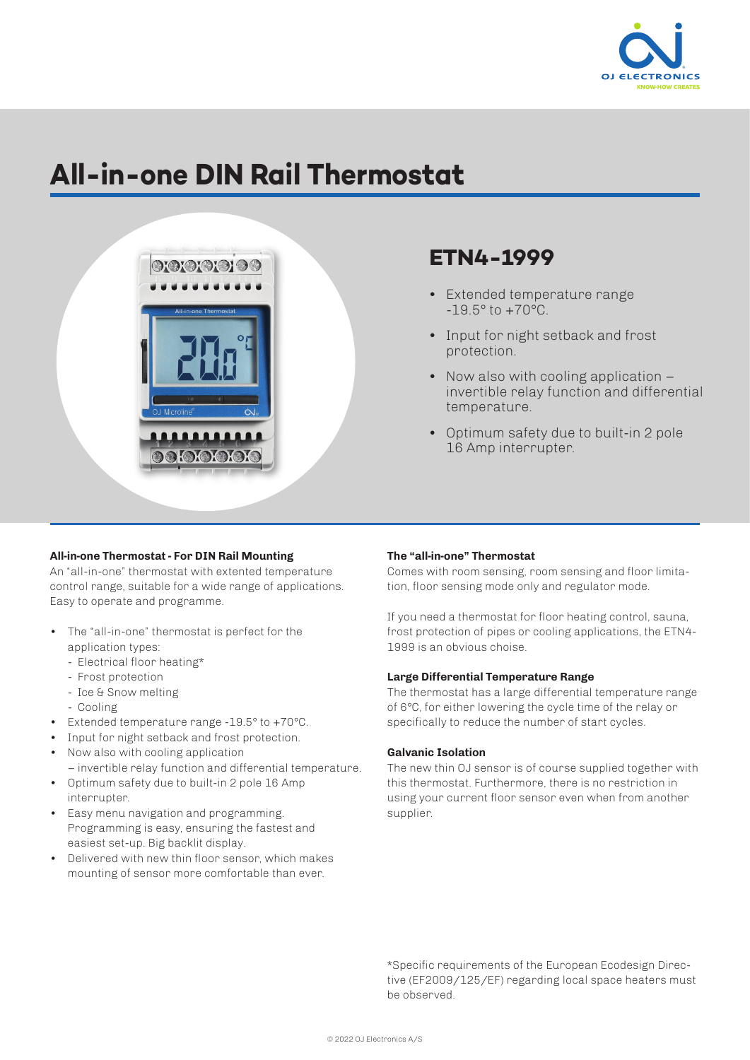

# **All-in-one DIN Rail Thermostat**



# **ETN4-1999**

- Extended temperature range -19.5° to +70°C.
- Input for night setback and frost protection.
- Now also with cooling application invertible relay function and differential temperature.
- Optimum safety due to built-in 2 pole 16 Amp interrupter.

## **All-in-one Thermostat - For DIN Rail Mounting**

An "all-in-one" thermostat with extented temperature control range, suitable for a wide range of applications. Easy to operate and programme.

- The "all-in-one" thermostat is perfect for the application types:
	- Electrical floor heating\*
	- Frost protection
	- Ice & Snow melting
	- Cooling
- Extended temperature range -19.5° to +70°C.
- Input for night setback and frost protection.
- Now also with cooling application – invertible relay function and differential temperature.
- Optimum safety due to built-in 2 pole 16 Amp interrupter.
- Easy menu navigation and programming. Programming is easy, ensuring the fastest and easiest set-up. Big backlit display.
- Delivered with new thin floor sensor, which makes mounting of sensor more comfortable than ever.

#### **The "all-in-one" Thermostat**

Comes with room sensing, room sensing and floor limitation, floor sensing mode only and regulator mode.

If you need a thermostat for floor heating control, sauna, frost protection of pipes or cooling applications, the ETN4- 1999 is an obvious choise.

#### **Large Differential Temperature Range**

The thermostat has a large differential temperature range of 6°C, for either lowering the cycle time of the relay or specifically to reduce the number of start cycles.

### **Galvanic Isolation**

The new thin OJ sensor is of course supplied together with this thermostat. Furthermore, there is no restriction in using your current floor sensor even when from another supplier.

\*Specific requirements of the European Ecodesign Directive (EF2009/125/EF) regarding local space heaters must be observed.